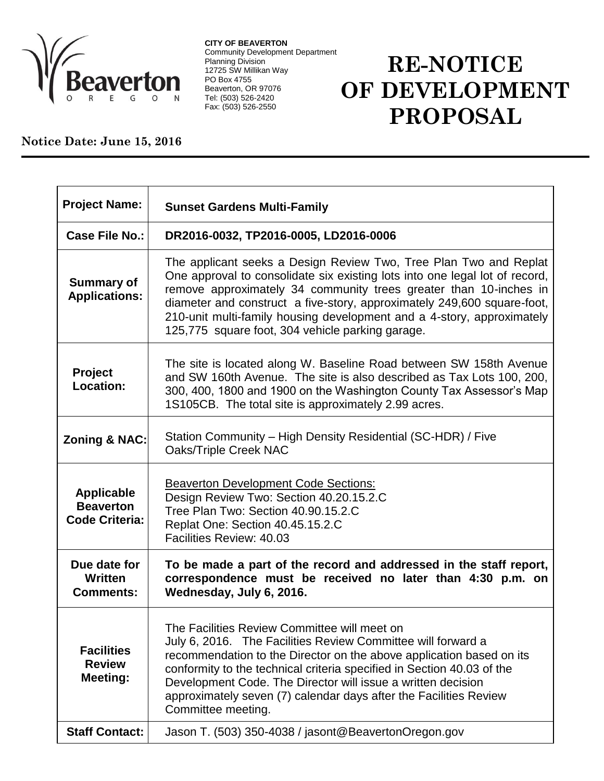

**CITY OF BEAVERTON** Community Development Department Planning Division 12725 SW Millikan Way PO Box 4755 Beaverton, OR 97076 Tel: (503) 526-2420 Fax: (503) 526-2550

## **RE-NOTICE OF DEVELOPMENT PROPOSAL**

## **Notice Date: June 15, 2016**

| <b>Project Name:</b>                                           | <b>Sunset Gardens Multi-Family</b>                                                                                                                                                                                                                                                                                                                                                                                             |
|----------------------------------------------------------------|--------------------------------------------------------------------------------------------------------------------------------------------------------------------------------------------------------------------------------------------------------------------------------------------------------------------------------------------------------------------------------------------------------------------------------|
| <b>Case File No.:</b>                                          | DR2016-0032, TP2016-0005, LD2016-0006                                                                                                                                                                                                                                                                                                                                                                                          |
| <b>Summary of</b><br><b>Applications:</b>                      | The applicant seeks a Design Review Two, Tree Plan Two and Replat<br>One approval to consolidate six existing lots into one legal lot of record,<br>remove approximately 34 community trees greater than 10-inches in<br>diameter and construct a five-story, approximately 249,600 square-foot,<br>210-unit multi-family housing development and a 4-story, approximately<br>125,775 square foot, 304 vehicle parking garage. |
| <b>Project</b><br>Location:                                    | The site is located along W. Baseline Road between SW 158th Avenue<br>and SW 160th Avenue. The site is also described as Tax Lots 100, 200,<br>300, 400, 1800 and 1900 on the Washington County Tax Assessor's Map<br>1S105CB. The total site is approximately 2.99 acres.                                                                                                                                                     |
| <b>Zoning &amp; NAC:</b>                                       | Station Community - High Density Residential (SC-HDR) / Five<br>Oaks/Triple Creek NAC                                                                                                                                                                                                                                                                                                                                          |
| <b>Applicable</b><br><b>Beaverton</b><br><b>Code Criteria:</b> | <b>Beaverton Development Code Sections:</b><br>Design Review Two: Section 40.20.15.2.C<br>Tree Plan Two: Section 40.90.15.2.C<br>Replat One: Section 40.45.15.2.C<br>Facilities Review: 40.03                                                                                                                                                                                                                                  |
| Due date for<br>Written<br><b>Comments:</b>                    | To be made a part of the record and addressed in the staff report,<br>correspondence must be received no later than 4:30 p.m. on<br>Wednesday, July 6, 2016.                                                                                                                                                                                                                                                                   |
| <b>Facilities</b><br><b>Review</b><br><b>Meeting:</b>          | The Facilities Review Committee will meet on<br>July 6, 2016. The Facilities Review Committee will forward a<br>recommendation to the Director on the above application based on its<br>conformity to the technical criteria specified in Section 40.03 of the<br>Development Code. The Director will issue a written decision<br>approximately seven (7) calendar days after the Facilities Review<br>Committee meeting.      |
| <b>Staff Contact:</b>                                          | Jason T. (503) 350-4038 / jasont@BeavertonOregon.gov                                                                                                                                                                                                                                                                                                                                                                           |